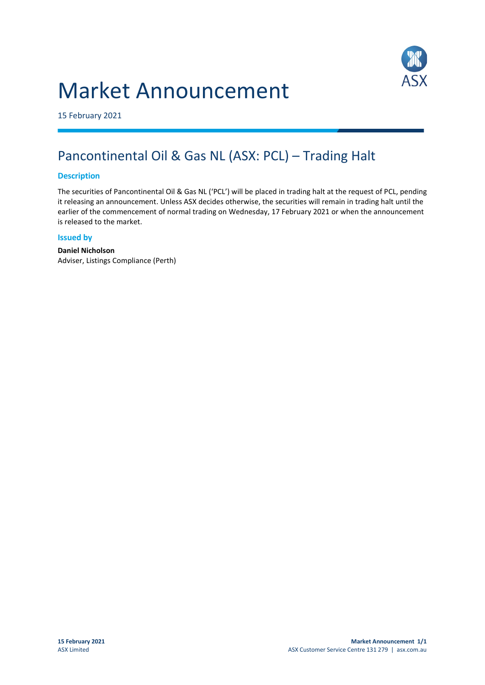# Market Announcement



15 February 2021

## Pancontinental Oil & Gas NL (ASX: PCL) – Trading Halt

#### **Description**

The securities of Pancontinental Oil & Gas NL ('PCL') will be placed in trading halt at the request of PCL, pending it releasing an announcement. Unless ASX decides otherwise, the securities will remain in trading halt until the earlier of the commencement of normal trading on Wednesday, 17 February 2021 or when the announcement is released to the market.

#### **Issued by**

**Daniel Nicholson** Adviser, Listings Compliance (Perth)